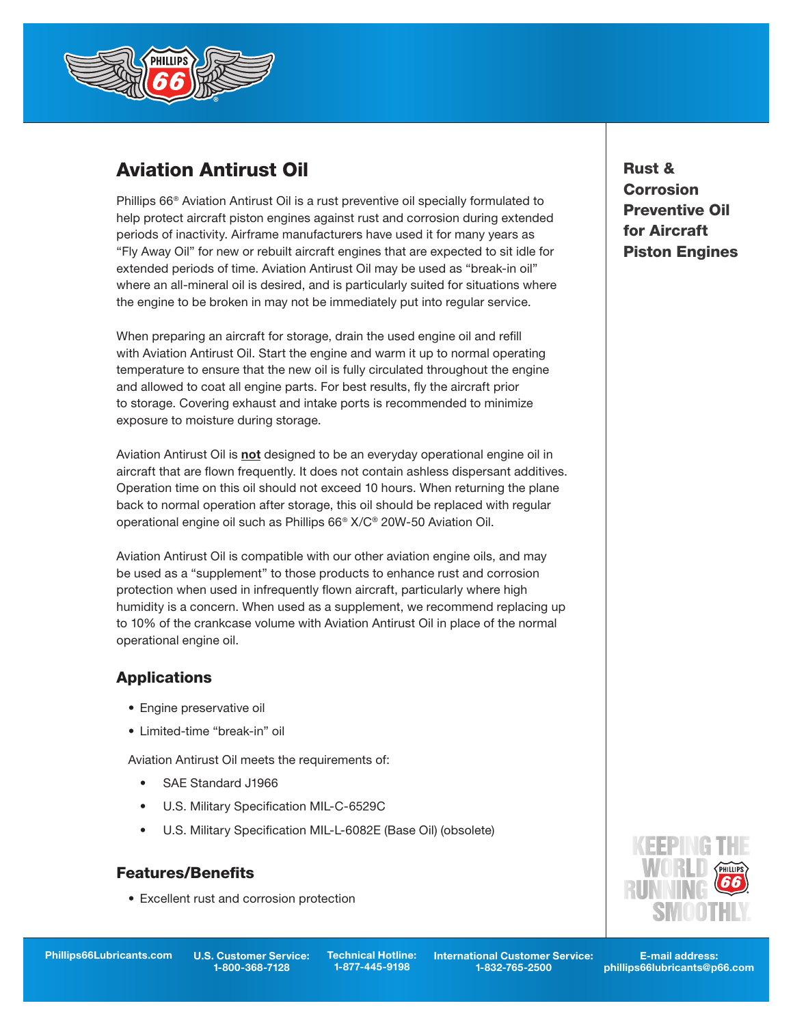

# Aviation Antirust Oil

Phillips 66® Aviation Antirust Oil is a rust preventive oil specially formulated to help protect aircraft piston engines against rust and corrosion during extended periods of inactivity. Airframe manufacturers have used it for many years as "Fly Away Oil" for new or rebuilt aircraft engines that are expected to sit idle for extended periods of time. Aviation Antirust Oil may be used as "break-in oil" where an all-mineral oil is desired, and is particularly suited for situations where the engine to be broken in may not be immediately put into regular service.

When preparing an aircraft for storage, drain the used engine oil and refill with Aviation Antirust Oil. Start the engine and warm it up to normal operating temperature to ensure that the new oil is fully circulated throughout the engine and allowed to coat all engine parts. For best results, fly the aircraft prior to storage. Covering exhaust and intake ports is recommended to minimize exposure to moisture during storage.

Aviation Antirust Oil is not designed to be an everyday operational engine oil in aircraft that are flown frequently. It does not contain ashless dispersant additives. Operation time on this oil should not exceed 10 hours. When returning the plane back to normal operation after storage, this oil should be replaced with regular operational engine oil such as Phillips 66® X/C® 20W-50 Aviation Oil.

Aviation Antirust Oil is compatible with our other aviation engine oils, and may be used as a "supplement" to those products to enhance rust and corrosion protection when used in infrequently flown aircraft, particularly where high humidity is a concern. When used as a supplement, we recommend replacing up to 10% of the crankcase volume with Aviation Antirust Oil in place of the normal operational engine oil.

## **Applications**

- Engine preservative oil
- Limited-time "break-in" oil

Aviation Antirust Oil meets the requirements of:

- SAE Standard J1966
- U.S. Military Specification MIL-C-6529C
- U.S. Military Specification MIL-L-6082E (Base Oil) (obsolete)

### **Features/Benefits**

• Excellent rust and corrosion protection

U.S. Customer Service: 1-800-368-7128

Phillips66Lubricants.com U.S. Customer Service: Technical Hotline: International Customer Service: E-mail address: 1-832-765-2500

phillips66lubricants@p66.com

## Rust & **Corrosion** Preventive Oil for Aircraft Piston Engines